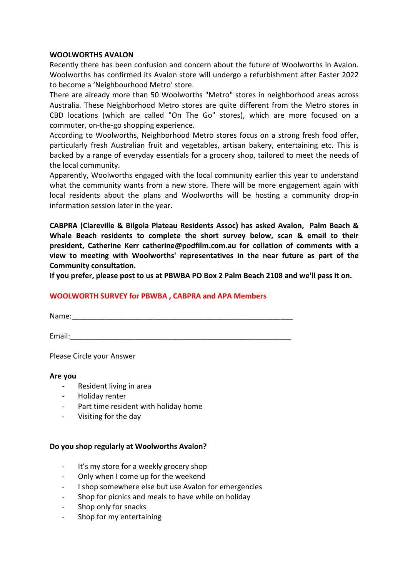### **WOOLWORTHS AVALON**

Recently there has been confusion and concern about the future of Woolworths in Avalon. Woolworths has confirmed its Avalon store will undergo a refurbishment after Easter 2022 to become a 'Neighbourhood Metro' store.

There are already more than 50 Woolworths "Metro" stores in neighborhood areas across Australia. These Neighborhood Metro stores are quite different from the Metro stores in CBD locations (which are called "On The Go" stores), which are more focused on a commuter, on-the-go shopping experience.

According to Woolworths, Neighborhood Metro stores focus on a strong fresh food offer, particularly fresh Australian fruit and vegetables, artisan bakery, entertaining etc. This is backed by a range of everyday essentials for a grocery shop, tailored to meet the needs of the local community.

Apparently, Woolworths engaged with the local community earlier this year to understand what the community wants from a new store. There will be more engagement again with local residents about the plans and Woolworths will be hosting a community drop-in information session later in the year.

**CABPRA (Clareville & Bilgola Plateau Residents Assoc) has asked Avalon, Palm Beach & Whale Beach residents to complete the short survey below, scan & email to their president, Catherine Kerr catherine@podfilm.com.au for collation of comments with a view to meeting with Woolworths' representatives in the near future as part of the Community consultation.**

**If you prefer, please post to us at PBWBA PO Box 2 Palm Beach 2108 and we'll pass it on.**

# **WOOLWORTH SURVEY for PBWBA , CABPRA and APA Members**

Name:\_\_\_\_\_\_\_\_\_\_\_\_\_\_\_\_\_\_\_\_\_\_\_\_\_\_\_\_\_\_\_\_\_\_\_\_\_\_\_\_\_\_\_\_\_\_\_\_\_\_\_\_\_\_

Email:\_\_\_\_\_\_\_\_\_\_\_\_\_\_\_\_\_\_\_\_\_\_\_\_\_\_\_\_\_\_\_\_\_\_\_\_\_\_\_\_\_\_\_\_\_\_\_\_\_\_\_\_\_\_

Please Circle your Answer

#### **Are you**

- Resident living in area
- Holiday renter
- Part time resident with holiday home
- Visiting for the day

#### **Do you shop regularly at Woolworths Avalon?**

- It's my store for a weekly grocery shop
- Only when I come up for the weekend
- I shop somewhere else but use Avalon for emergencies
- Shop for picnics and meals to have while on holiday
- Shop only for snacks
- Shop for my entertaining